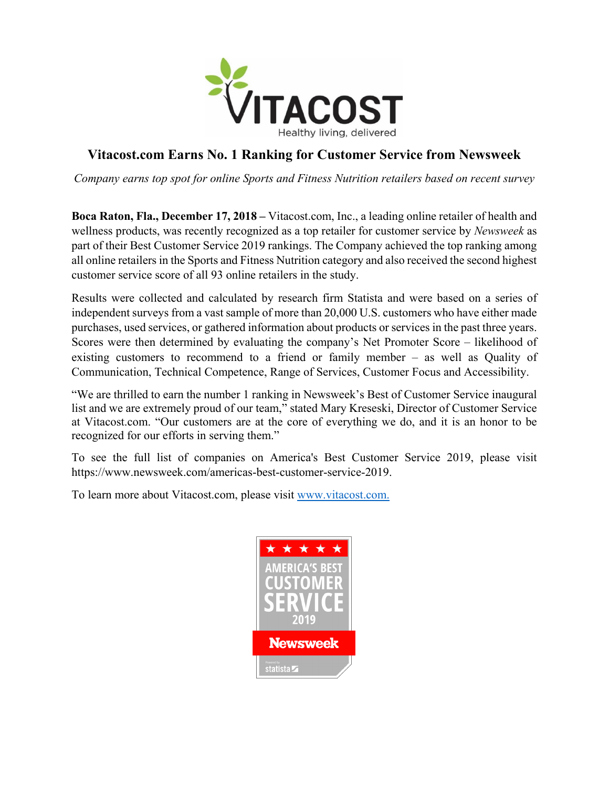

## **Vitacost.com Earns No. 1 Ranking for Customer Service from Newsweek**

*Company earns top spot for online Sports and Fitness Nutrition retailers based on recent survey*

**Boca Raton, Fla., December 17, 2018 –** Vitacost.com, Inc., a leading online retailer of health and wellness products, was recently recognized as a top retailer for customer service by *Newsweek* as part of their Best Customer Service 2019 rankings. The Company achieved the top ranking among all online retailers in the Sports and Fitness Nutrition category and also received the second highest customer service score of all 93 online retailers in the study.

Results were collected and calculated by research firm Statista and were based on a series of independent surveys from a vast sample of more than 20,000 U.S. customers who have either made purchases, used services, or gathered information about products or services in the past three years. Scores were then determined by evaluating the company's Net Promoter Score – likelihood of existing customers to recommend to a friend or family member – as well as Quality of Communication, Technical Competence, Range of Services, Customer Focus and Accessibility.

"We are thrilled to earn the number 1 ranking in Newsweek's Best of Customer Service inaugural list and we are extremely proud of our team," stated Mary Kreseski, Director of Customer Service at Vitacost.com. "Our customers are at the core of everything we do, and it is an honor to be recognized for our efforts in serving them."

To see the full list of companies on America's Best Customer Service 2019, please visit https://www.newsweek.com/americas-best-customer-service-2019.

To learn more about Vitacost.com, please visit [www.vitacost.com.](http://www.vitacost.com/)